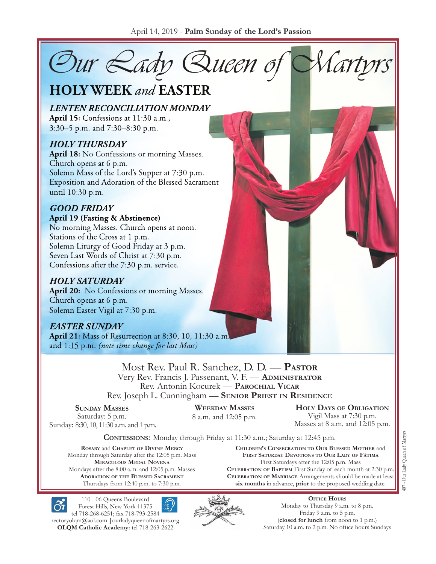Our Rady Queen of

# **HOLY WEEK and EASTER**

**LENTEN RECONCILIATION MONDAY** April 15: Confessions at 11:30 a.m., 3:30–5 p.m. and 7:30–8:30 p.m.

#### **HOLY THURSDAY**

**April 18:** No Confessions or morning Masses. Church opens at 6 p.m. Solemn Mass of the Lord's Supper at 7:30 p.m. Exposition and Adoration of the Blessed Sacrament until 10:30 p.m.

### **GOOD FRIDAY**

#### April 19 (Fasting & Abstinence)

No morning Masses. Church opens at noon. Stations of the Cross at 1 p.m. Solemn Liturgy of Good Friday at 3 p.m. Seven Last Words of Christ at 7:30 p.m. Confessions after the 7:30 p.m. service.

#### **HOLY SATURDAY**

April 20: No Confessions or morning Masses. Church opens at 6 p.m. Solemn Easter Vigil at 7:30 p.m.

### **EASTER SUNDAY**

**April 21:** Mass of Resurrection at 8:30, 10, 11:30 a.m. and 1:15 p.m. (note time change for last Mass)

> Most Rev. Paul R. Sanchez, D. D. — **Pastor** Very Rev. Francis J. Passenant, V. F. — **Administrator** Rev. Antonin Kocurek — **Parochial Vicar** Rev. Joseph L. Cunningham — **Senior Priest in Residence**

#### **Sunday Masses** Saturday: 5 p.m. Sunday: 8:30, 10, 11:30 a.m. and 1 p.m.

**Weekday Masses** 8 a.m. and 12:05 p.m.

**Holy Days of Obligation** Vigil Mass at 7:30 p.m. Masses at 8 a.m. and  $12:05$  p.m.

**Confessions:** Monday through Friday at 11:30 a.m.; Saturday at 12:45 p.m.

**Rosary** and **Chaplet of Divine Mercy** Monday through Saturday after the 12:05 p.m. Mass **Miraculous Medal Novena** Mondays after the 8:00 a.m. and 12:05 p.m. Masses **Adoration of the Blessed Sacrament** Thursdays from 12:40 p.m. to 7:30 p.m.

**Children's Consecration to Our Blessed Mother** and **First Saturday Devotions to Our Lady of Fátima** First Saturdays after the 12:05 p.m. Mass **Celebration of Baptism** First Sunday of each month at 2:30 p.m. **Celebration of Marriage** Arrangements should be made at least **six months** in advance, **prior** to the proposed wedding date.



110 - 06 Queens Boulevard Forest Hills, New York 11375

tel 718-268-6251; fax 718-793-2584 [rectoryolqm@aol.com](mailto:rectoryolqm@aol.com) **|**[ourladyqueenofmartyrs.org](www.ourladyqueenofmartyrs.org) **OLQM Catholic Academy:** tel 718-263-2622



**Office Hours** Monday to Thursday 9 a.m. to 8 p.m. Friday 9 a.m. to 5 p.m. (**closed for lunch** from noon to 1 p.m.) Saturday 10 a.m. to 2 p.m. No office hours Sundays Our Lady Queen of Martyrs 407 - Our Lady Queen of Martyrs  $\overline{5}$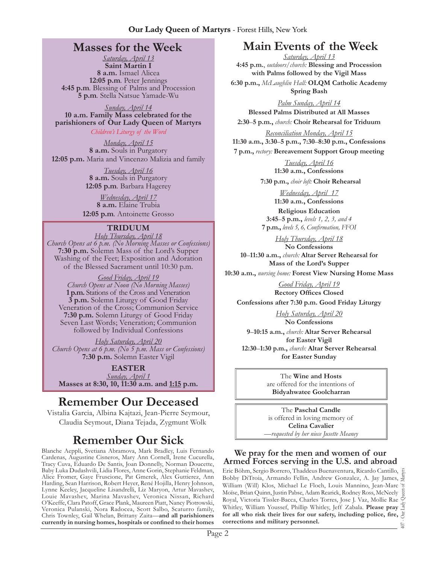### **Masses for the Week**

*Saturday, April 13* **Saint Martin I 8 a.m.** Ismael Alicea **12:05 p.m***.* Peter Jennings **4:45 p.m***.* Blessing of Palms and Procession **5 p.m***.* Stella Natsue Yamade-Wu

*Sunday, April 14* **10 a.m. Family Mass celebrated for the parishioners of Our Lady Queen of Martyrs** *Children's Liturgy of the Word* 

*Monday, April 15* **8 a.m.** Souls in Purgatory **12:05 p.m.** Maria and Vincenzo Malizia and family

> *Tuesday, April 16* **8 a.m.** Souls in Purgatory **12:05 p.m***.* Barbara Hagerey

*Wednesday, April 17* **8 a.m.** Elaine Trubia **12:05 p.m***.* Antoinette Grosso

#### **Triduum**

*Holy Thursday, April 18 Church Opens at 6 p.m. (No Morning Masses or Confessions)* **7:30 p.m.** Solemn Mass of the Lord's Supper Washing of the Feet; Exposition and Adoration of the Blessed Sacrament until 10:30 p.m.

*Good Friday, April 19 Church Opens at Noon (No Morning Masses)* **1 p.m.** Stations of the Cross and Veneration **3 p.m.** Solemn Liturgy of Good Friday Veneration of the Cross; Communion Service **7:30 p.m.** Solemn Liturgy of Good Friday Seven Last Words; Veneration; Communion followed by Individual Confessions

*Holy Saturday, April 20 Church Opens at 6 p.m. (No 5 p.m. Mass or Confessions)* **7:30 p.m.** Solemn Easter Vigil

**EASTER** *Sunday, April 1* **Masses at 8:30, 10, 11:30 a.m. and 1:15 p.m.**

# **Remember Our Deceased**

Vistalia Garcia, Albina Kajtazi, Jean-Pierre Seymour, Claudia Seymout, Diana Tejada, Zygmunt Wolk

# **Remember Our Sick**

Blanche Aeppli, Svetiana Abramova, Mark Bradley, Luis Fernando Cardenas, Augustine Cisneros, Mary Ann Cornell, Irene Cucurella, Tracy Cuva, Eduardo De Santis, Joan Donnelly, Norman Doucette, Baby Luka Dudashvili, Lidia Flores, Anne Gorin, Stephanie Feldman, Alice Fromer, Gaye Fruscione, Pat Gmerek, Alex Guttierez, Ann Harding, Sean Harrison, Robert Heyer, René Hojilla, Henry Johnson, Lynne Keeley, Jacqueline Lisandrelli, Liz Maryon, Artur Mavashev, Louie Mavashev, Marina Mavashev, Veronica Nissan, Richard O'Keeffe, Clara Patoff, Grace Plank, Maureen Piatt, Nancy Piotrowski, Veronica Pulanski, Nora Radocea, Scott Salbo, Scaturro family, Chris Townley, Gail Whelan, Brittany Zaita—**and all parishioners currently in nursing homes, hospitals or confined to their homes**

# **Main Events of the Week**

*Saturday, April 13* **4:45 p.m.**, *outdoors/church:* **Blessing and Procession with Palms followed by the Vigil Mass**

**6:30 p.m.,** *McLaughlin Hall:* **OLQM Catholic Academy Spring Bash** 

*Palm Sunday, April 14* **Blessed Palms Distributed at All Masses**

**2:30**–**5 p.m.,** *church:* **Choir Rehearsal for Triduum**

*Reconciliation Monday, April 15* **11:30 a.m., 3:30**–**5 p.m., 7:30**–**8:30 p.m., Confessions**

**7 p.m.,** *rectory:* **Bereavement Support Group meeting**

*Tuesday, April 16* **11:30 a.m., Confessions**

**7:30 p.m.,** *choir loft:* **Choir Rehearsal**

*Wednesday, April 17* **11:30 a.m., Confessions** 

**Religious Education 3:45**–**5 p.m.,** *levels 1, 2, 3, and 4*  **7 p.m.,** *levels 5, 6, Confirmation, FFO I* 

*Holy Thursday, April 18* **No Confessions 10**–**11:30 a.m.,** *church:* **Altar Server Rehearsal for Mass of the Lord's Supper**

**10:30 a.m.,** *nursing home:* **Forest View Nursing Home Mass**

*Good Friday, April 19* **Rectory Offices Closed**

**Confessions after 7:30 p.m. Good Friday Liturgy**

*Holy Saturday, April 20* **No Confessions**

**9**–**10:15 a.m.,** *church:* **Altar Server Rehearsal for Easter Vigil 12:30**–**1:30 p.m.,** *church:* **Altar Server Rehearsal for Easter Sunday**

> The **Wine and Hosts** are offered for the intentions of **Bidyahwatee Goolcharran**

The **Paschal Candle**  is offered in loving memory of **Celina Cavalier** —*requested by her niece Jusette Meaney*

#### **We pray for the men and women of our Armed Forces serving in the U.S. and abroad**

Eric Böhm, Sergio Borrero, Thaddeus Buenaventura, Ricardo Cantillo, 407 - Our Lady Queen of Martyrs Bobby DiTroia, Armando Fellin, Andrew Gonzalez, A. Jay James, William (Will) Klos, Michael Le Floch, Louis Mannino, Jean-Marc Moïse, Brian Quinn, Justin Pabse, Adam Rearick, Rodney Ross, McNeely Royal, Victoria Tissler-Bacca, Charles Torres, Jose J. Vaz, Mollie Rae Whitley, William Youssef, Phillip Whitley, Jeff Zabala. **Please pray for all who risk their lives for our safety, including police, fire, corrections and military personnel.** 407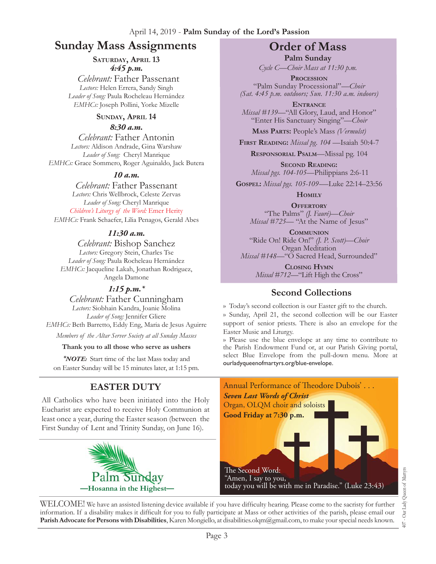# **Sunday Mass Assignments Order of Mass**

#### SATURDAY, APRIL 13 *4:45 p.m.*

 *Celebrant:* Father Passenant *Lectors:* Helen Errera, Sandy Singh *Leader of Song:* Paula Rocheleau Hernández *EMHCs:* Joseph Pollini, Yorke Mizelle

#### **Sunday, April 14**

#### *8:30 a.m.*

*Celebrant:* Father Antonin *Lectors:* Aldison Andrade, Gina Warshaw *Leader of Song:* Cheryl Manrique *EMHCs:* Grace Sommero, Roger Aguinaldo, Jack Butera

#### *10 a.m.*

*Celebrant:* Father Passenant *Lectors:* Chris Wellbrock, Celeste Zervas *Leader of Song:* Cheryl Manrique *Children's Liturgy of the Word:* Emer Herity *EMHCs:* Frank Schaefer, Lilia Penagos, Gerald Abes

#### *11:30 a.m.*

*Celebrant:* Bishop Sanchez *Lectors:* Gregory Stein, Charles Tse *Leader of Song:* Paula Rocheleau Hernández *EMHCs:* Jacqueline Lakah, Jonathan Rodriguez, Angela Damone

#### *1:15 p.m.\**

*Celebrant:* Father Cunningham *Lectors:* Siobhain Kandra, Joanie Molina *Leader of Song:* Jennifer Gliere *EMHCs:* Beth Barretto, Eddy Eng, Maria de Jesus Aguirre

*Members of the Altar Server Society at all Sunday Masses*

**Thank you to all those who serve as ushers**

*\*Note:* Start time of the last Mass today and on Easter Sunday will be 15 minutes later, at 1:15 pm.

# **Easter Duty**

All Catholics who have been initiated into the Holy Eucharist are expected to receive Holy Communion at least once a year, during the Easter season (between the First Sunday of Lent and Trinity Sunday, on June 16).



**Palm Sunday** *Cycle C—Choir Mass at 11:30 p.m.* 

**Procession** "Palm Sunday Processional"*—Choir (Sat. 4:45 p.m. outdoors; Sun. 11:30 a.m. indoors)*

**Entrance** *Missal* #139—"All Glory, Laud, and Honor" "Enter His Sanctuary Singing"—*Choir*

**Mass Parts:** People's Mass *(Vermulst)*

**First Reading:** *Missal pg. 104 —*Isaiah 50:4-7

**Responsorial Psalm**—Missal pg. 104

**Second Reading:**  *Missal pgs. 104-105—*Philippians 2:6-11

**Gospel:** *Missal pgs. 105-109-—*Luke 22:14–23:56

**Homily**

**Offertory** "The Palms" *(J. Fauré)—Choir Missal* #725— "At the Name of Jesus"

**Communion** "Ride On! Ride On!" *(J. P. Scott)—Choir* Organ Meditation *Missal* #148—"O Sacred Head, Surrounded"

> **Closing Hymn** *Missal #712—*"Lift High the Cross"

### **Second Collections**

›› Today's second collection is our Easter gift to the church.

›› Sunday, April 21, the second collection will be our Easter support of senior priests. There is also an envelope for the Easter Music and Liturgy.

›› Please use the blue envelope at any time to contribute to the Parish Endowment Fund or, at our Parish Giving portal, select Blue Envelope from the pull-down menu. More at ourladyqueenofmartyrs.org/blue-envelope.



WELCOME! We have an assisted listening device available if you have difficulty hearing. Please come to the sacristy for further information. If a disability makes it difficult for you to fully participate at Mass or other activities of the parish, please email our **Parish Advocate for Persons with Disabilities**, Karen Mongiello, at [disabilities.olqm@gmail.com,](mailto:disabilities.olqm@gmail.com) to make your special needs known.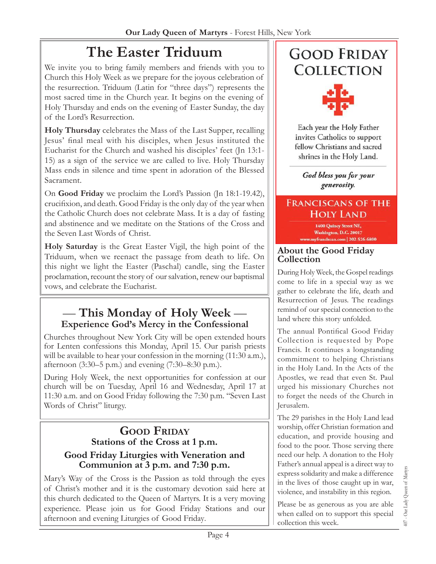# **The Easter Triduum**

We invite you to bring family members and friends with you to Church this Holy Week as we prepare for the joyous celebration of the resurrection. Triduum (Latin for "three days") represents the most sacred time in the Church year. It begins on the evening of Holy Thursday and ends on the evening of Easter Sunday, the day of the Lord's Resurrection.

**Holy Thursday** celebrates the Mass of the Last Supper, recalling Jesus' final meal with his disciples, when Jesus instituted the Eucharist for the Church and washed his disciples' feet (Jn 13:1- 15) as a sign of the service we are called to live. Holy Thursday Mass ends in silence and time spent in adoration of the Blessed Sacrament.

On **Good Friday** we proclaim the Lord's Passion (Jn 18:1-19.42), crucifixion, and death. Good Friday is the only day of the year when the Catholic Church does not celebrate Mass. It is a day of fasting and abstinence and we meditate on the Stations of the Cross and the Seven Last Words of Christ.

**Holy Saturday** is the Great Easter Vigil, the high point of the Triduum, when we reenact the passage from death to life. On this night we light the Easter (Paschal) candle, sing the Easter proclamation, recount the story of our salvation, renew our baptismal vows, and celebrate the Eucharist.

# — **This Monday of Holy Week** — **Experience God's Mercy in the Confessional**

Churches throughout New York City will be open extended hours for Lenten confessions this Monday, April 15. Our parish priests will be available to hear your confession in the morning (11:30 a.m.), afternoon (3:30–5 p.m.) and evening (7:30–8:30 p.m.).

During Holy Week, the next opportunities for confession at our church will be on Tuesday, April 16 and Wednesday, April 17 at 11:30 a.m. and on Good Friday following the 7:30 p.m. "Seven Last Words of Christ" liturgy.

### **Good Friday** Stations of the Cross at 1 p.m. **Good Friday Liturgies with Veneration and Communion at 3 p.m. and 7:30 p.m.**

Mary's Way of the Cross is the Passion as told through the eyes of Christ's mother and it is the customary devotion said here at this church dedicated to the Queen of Martyrs. It is a very moving experience. Please join us for Good Friday Stations and our afternoon and evening Liturgies of Good Friday.

# **GOOD FRIDAY COLLECTION**



Each year the Holy Father invites Catholics to support fellow Christians and sacred shrines in the Holy Land.

God bless you for your generosity.

### **FRANCISCANS OF THE HOLY LAND**

1400 Quincy Street NE, Washington, D.C. 20017 yfranciscan.com | 202-526-6800

#### **About the Good Friday Collection**

During Holy Week, the Gospel readings come to life in a special way as we gather to celebrate the life, death and Resurrection of Jesus. The readings remind of our special connection to the land where this story unfolded.

The annual Pontifical Good Friday Collection is requested by Pope Francis. It continues a longstanding commitment to helping Christians in the Holy Land. In the Acts of the Apostles, we read that even St. Paul urged his missionary Churches not to forget the needs of the Church in Jerusalem.

The 29 parishes in the Holy Land lead worship, offer Christian formation and education, and provide housing and food to the poor. Those serving there need our help. A donation to the Holy Father's annual appeal is a direct way to express solidarity and make a difference in the lives of those caught up in war, violence, and instability in this region.

Please be as generous as you are able when called on to support this special collection this week.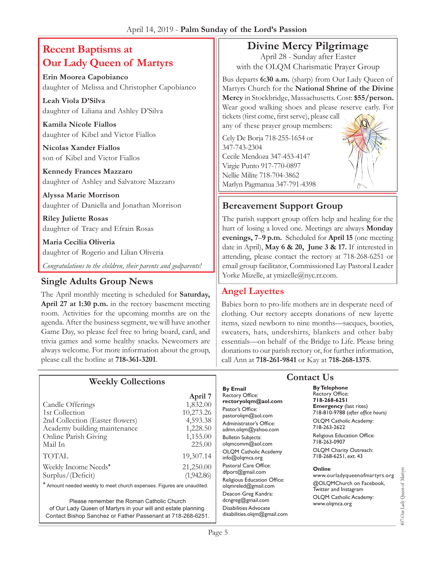# **Recent Baptisms at Our Lady Queen of Martyrs**

**Erin Moorea Capobianco** daughter of Melissa and Christopher Capobianco

**Leah Viola D'Silva** daughter of Liliana and Ashley D'Silva

**Kamila Nicole Fiallos**  daughter of Kibel and Victor Fiallos

**Nicolas Xander Fiallos**  son of Kibel and Victor Fiallos

**Kennedy Frances Mazzaro**  daughter of Ashley and Salvatore Mazzaro

**Alyssa Marie Morrison**  daughter of Daniella and Jonathan Morrison

**Riley Juliette Rosas** daughter of Tracy and Efrain Rosas

**Maria Cecilia Oliveria** daughter of Rogerio and Lilian Oliveria

*Congratulations to the children, their parents and godparents!*

# Single Adults Group News **Single Adults Group News Single Adults Group News Single Adults Group News**

The April monthly meeting is scheduled for **Saturday, April 27 at 1:30 p.m.** in the rectory basement meeting room. Activities for the upcoming months are on the agenda. After the business segment, we will have another Game Day, so please feel free to bring board, card, and trivia games and some healthy snacks. Newcomers are always welcome. For more information about the group, please call the hotline at **718-361-3201**.

# **Divine Mercy Pilgrimage**

April 28 - Sunday after Easter with the OLQM Charismatic Prayer Group

Bus departs **6:30 a.m.** (sharp) from Our Lady Queen of Martyrs Church for the **National Shrine of the Divine Mercy** in Stockbridge, Massachusetts. Cost: **\$55/person.**  Wear good walking shoes and please reserve early. For tickets (first come, first serve), please call

any of these prayer group members: Cely De Borja 718-255-1654 or 347-743-2304 Cecile Mendoza 347-453-4147 Virgie Punto 917-770-0897 Nellie Milite 718-704-3862 Marlyn Pagmanua 347-791-4398

**Bereavement Support Group**

The parish support group offers help and healing for the hurt of losing a loved one. Meetings are always **Monday evenings, 7**–**9 p.m.** Scheduled for **April 15** (one meeting date in April), **May 6 & 20, June 3 & 17.** If interested in attending, please contact the rectory at 718-268-6251 or email group facilitator, Commissioned Lay Pastoral Leader

### **Angel Layettes**

Babies born to pro-life mothers are in desperate need of clothing. Our rectory accepts donations of new layette items, sized newborn to nine months—sacques, booties, sweaters, hats, undershirts, blankets and other baby essentials—on behalf of the Bridge to Life. Please bring donations to our parish rectory or, for further information, call Ann at **718-261-9841** or Kay at **718-268-1375**.

| <b>Weekly Collections</b>                                              |                         | Comaci (                                                         |                           |
|------------------------------------------------------------------------|-------------------------|------------------------------------------------------------------|---------------------------|
|                                                                        | April 7                 | <b>By Email</b><br><b>Rectory Office:</b><br>rectoryolgm@aol.com | By Te<br>Recto<br>$718-2$ |
| Candle Offerings<br>1st Collection                                     | 1,832.00<br>10,273.26   | Pastor's Office:<br>pastorolgm@aol.com                           | Eme<br>$718 - 8$          |
| 2nd Collection (Easter flowers)<br>Academy building maintenance        | 4,593.38<br>1,228.50    | Administrator's Office:<br>admn.olgm@yahoo.com                   | <b>OLQ</b><br>718-2       |
| Online Parish Giving<br>Mail In                                        | 1,155.00<br>225.00      | <b>Bulletin Subjects:</b><br>olgmcomm@aol.com                    | Religi<br>718-2           |
| <b>TOTAL</b>                                                           | 19,307.14               | <b>OLOM Catholic Academy</b><br>$info@$ olqmca.org               | <b>OLQ</b><br>718-2       |
| Weekly Income Needs*<br>Surplus/(Deficit)                              | 21,250.00<br>(1,942.86) | Pastoral Care Office:<br>dfport@gmail.com                        | Onli<br>www               |
| * Amount needed weekly to meet church expenses. Figures are unaudited. |                         | Religious Education Office:<br>olgmreled@gmail.com               | @OL<br>Twitt              |
| Please remember the Roman Catholic Church                              |                         | Deacon Greg Kandra:<br>dcngreg@gmail.com                         | <b>OLQ</b><br>www         |

of Our Lady Queen of Martyrs in your will and estate planning. Contact Bishop Sanchez or Father Passenant at 718-268-6251. Disabilities Advocate [disabilities.olqm@gmail.com](mailto:disabilities.olqm@gmail.com)

# **Contact Us**

**Blephone** bry Office: **718-268-6251 Example 13** (last rites) 718-810-9788 (*after office hours)* M Catholic Academy: 263-2622

ious Education Office: 263-0907 M Charity Outreach:

268-6251, ext. 43

#### ne

ourladyqueenofmartyrs.org QMChurch on Facebook, er and Instagram M Catholic Academy: olqmca.org